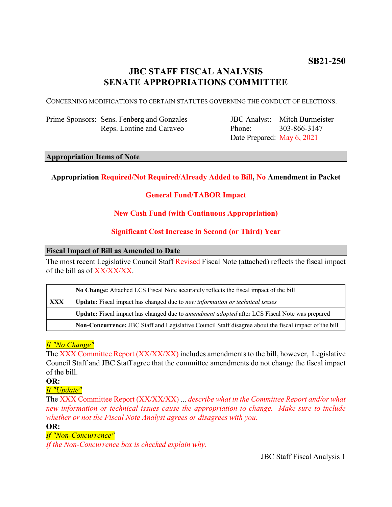# **JBC STAFF FISCAL ANALYSIS SENATE APPROPRIATIONS COMMITTEE**

CONCERNING MODIFICATIONS TO CERTAIN STATUTES GOVERNING THE CONDUCT OF ELECTIONS.

Prime Sponsors: Sens. Fenberg and Gonzales Reps. Lontine and Caraveo

JBC Analyst: Mitch Burmeister Phone: Date Prepared: May 6, 2021 303-866-3147

#### **Appropriation Items of Note**

# **Appropriation Required/Not Required/Already Added to Bill, No Amendment in Packet**

# **General Fund/TABOR Impact**

# **New Cash Fund (with Continuous Appropriation)**

# **Significant Cost Increase in Second (or Third) Year**

#### **Fiscal Impact of Bill as Amended to Date**

The most recent Legislative Council Staff Revised Fiscal Note (attached) reflects the fiscal impact of the bill as of XX/XX/XX.

|            | No Change: Attached LCS Fiscal Note accurately reflects the fiscal impact of the bill                       |
|------------|-------------------------------------------------------------------------------------------------------------|
| <b>XXX</b> | <b>Update:</b> Fiscal impact has changed due to new information or technical issues                         |
|            | <b>Update:</b> Fiscal impact has changed due to <i>amendment adopted</i> after LCS Fiscal Note was prepared |
|            | Non-Concurrence: JBC Staff and Legislative Council Staff disagree about the fiscal impact of the bill       |

# *If "No Change"*

The XXX Committee Report (XX/XX/XX) includes amendments to the bill, however, Legislative Council Staff and JBC Staff agree that the committee amendments do not change the fiscal impact of the bill.

**OR:**

*If "Update"*

The XXX Committee Report (XX/XX/XX) ... *describe what in the Committee Report and/or what new information or technical issues cause the appropriation to change. Make sure to include whether or not the Fiscal Note Analyst agrees or disagrees with you.*

**OR:**

# *If "Non-Concurrence"*

*If the Non-Concurrence box is checked explain why.*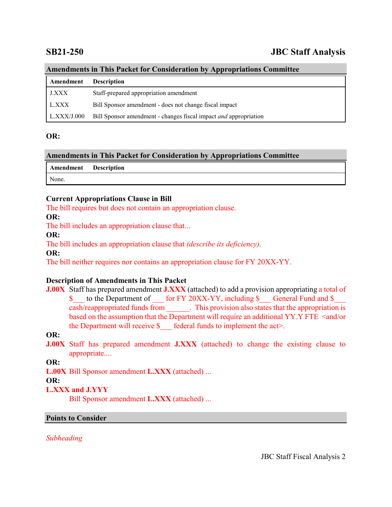# **SB21-250 JBC Staff Analysis**

# **Amendments in This Packet for Consideration by Appropriations Committee**

| Amendment    | <b>Description</b>                                                      |
|--------------|-------------------------------------------------------------------------|
| <b>J.XXX</b> | Staff-prepared appropriation amendment                                  |
| L.XXX        | Bill Sponsor amendment - does not change fiscal impact                  |
| L.XXX/J.000  | Bill Sponsor amendment - changes fiscal impact <i>and</i> appropriation |

### **OR:**

# **Amendments in This Packet for Consideration by Appropriations Committee**

| <b>Amendment</b> Description |  |
|------------------------------|--|
| None.                        |  |

### **Current Appropriations Clause in Bill**

The bill requires but does not contain an appropriation clause.

**OR:**

The bill includes an appropriation clause that...

#### **OR:**

The bill includes an appropriation clause that *(describe its deficiency).*

**OR:**

The bill neither requires nor contains an appropriation clause for FY 20XX-YY.

# **Description of Amendments in This Packet**

**J.00X** Staff has prepared amendment **J.XXX** (attached) to add a provision appropriating a total of \$ to the Department of for FY 20XX-YY, including \$ General Fund and \$ cash/reappropriated funds from \_\_\_\_\_\_. This provision also states that the appropriation is based on the assumption that the Department will require an additional YY.Y FTE <and/or the Department will receive  $\$  federal funds to implement the act>.

# **OR:**

**J.00X** Staff has prepared amendment **J.XXX** (attached) to change the existing clause to appropriate....

**OR:**

**L.00X** Bill Sponsor amendment **L.XXX** (attached) ...

#### **OR:**

# **L.XXX and J.YYY**

Bill Sponsor amendment **L.XXX** (attached) ...

#### **Points to Consider**

*Subheading*

JBC Staff Fiscal Analysis 2